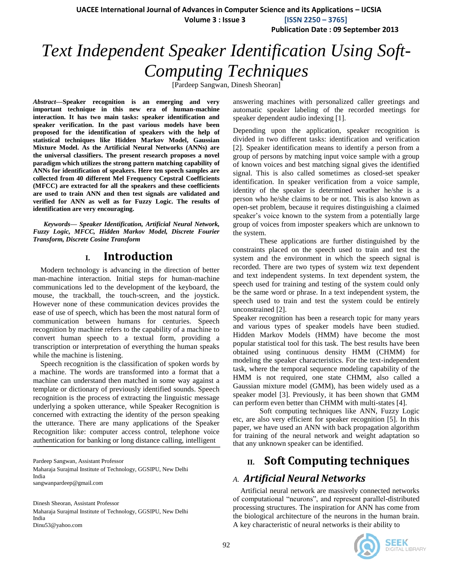**UACEE International Journal of Advances in Computer Science and its Applications – IJCSIA**

 **Volume 3 : Issue 3 [ISSN 2250 – 3765]**

**Publication Date : 09 September 2013**

# *Text Independent Speaker Identification Using Soft-Computing Techniques*

[Pardeep Sangwan, Dinesh Sheoran]

*Abstract***—Speaker recognition is an emerging and very important technique in this new era of human-machine interaction. It has two main tasks: speaker identification and speaker verification. In the past various models have been proposed for the identification of speakers with the help of statistical techniques like Hidden Markov Model, Gaussian Mixture Model. As the Artificial Neural Networks (ANNs) are the universal classifiers. The present research proposes a novel paradigm which utilizes the strong pattern matching capability of ANNs for identification of speakers. Here ten speech samples are collected from 40 different Mel Frequency Cepstral Coefficients (MFCC) are extracted for all the speakers and these coefficients are used to train ANN and then test signals are validated and verified for ANN as well as for Fuzzy Logic. The results of identification are very encouraging.**

*Keywords— Speaker Identification, Artificial Neural Network, Fuzzy Logic, MFCC, Hidden Markov Model, Discrete Fourier Transform, Discrete Cosine Transform*

## **I. Introduction**

Modern technology is advancing in the direction of better man-machine interaction. Initial steps for human-machine communications led to the development of the keyboard, the mouse, the trackball, the touch-screen, and the joystick. However none of these communication devices provides the ease of use of speech, which has been the most natural form of communication between humans for centuries. Speech recognition by machine refers to the capability of a machine to convert human speech to a textual form, providing a transcription or interpretation of everything the human speaks while the machine is listening.

Speech recognition is the classification of spoken words by a machine. The words are transformed into a format that a machine can understand then matched in some way against a template or dictionary of previously identified sounds. Speech recognition is the process of extracting the linguistic message underlying a spoken utterance, while Speaker Recognition is concerned with extracting the identity of the person speaking the utterance. There are many applications of the Speaker Recognition like: computer access control, telephone voice authentication for banking or long distance calling, intelligent

Pardeep Sangwan, Assistant Professor Maharaja Surajmal Institute of Technology, GGSIPU, New Delhi India sangwanpardeep@gmail.com

Dinesh Sheoran, Assistant Professor Maharaja Surajmal Institute of Technology, GGSIPU, New Delhi India Dinu53@yahoo.com

answering machines with personalized caller greetings and automatic speaker labeling of the recorded meetings for speaker dependent audio indexing [1].

Depending upon the application, speaker recognition is divided in two different tasks: identification and verification [2]. Speaker identification means to identify a person from a group of persons by matching input voice sample with a group of known voices and best matching signal gives the identified signal. This is also called sometimes as closed-set speaker identification. In speaker verification from a voice sample, identity of the speaker is determined weather he/she is a person who he/she claims to be or not. This is also known as open-set problem, because it requires distinguishing a claimed speaker's voice known to the system from a potentially large group of voices from imposter speakers which are unknown to the system.

These applications are further distinguished by the constraints placed on the speech used to train and test the system and the environment in which the speech signal is recorded. There are two types of system wiz text dependent and text independent systems. In text dependent system, the speech used for training and testing of the system could only be the same word or phrase. In a text independent system, the speech used to train and test the system could be entirely unconstrained [2].

Speaker recognition has been a research topic for many years and various types of speaker models have been studied. Hidden Markov Models (HMM) have become the most popular statistical tool for this task. The best results have been obtained using continuous density HMM (CHMM) for modeling the speaker characteristics. For the text-independent task, where the temporal sequence modeling capability of the HMM is not required, one state CHMM, also called a Gaussian mixture model (GMM), has been widely used as a speaker model [3]. Previously, it has been shown that GMM can perform even better than CHMM with multi-states [4].

Soft computing techniques like ANN, Fuzzy Logic etc, are also very efficient for speaker recognition [5]. In this paper, we have used an ANN with back propagation algorithm for training of the neural network and weight adaptation so that any unknown speaker can be identified.

## **II. Soft Computing techniques**

#### *A. Artificial Neural Networks*

Artificial neural network are massively connected networks of computational "neurons", and represent parallel-distributed processing structures. The inspiration for ANN has come from the biological architecture of the neurons in the human brain. A key characteristic of neural networks is their ability to

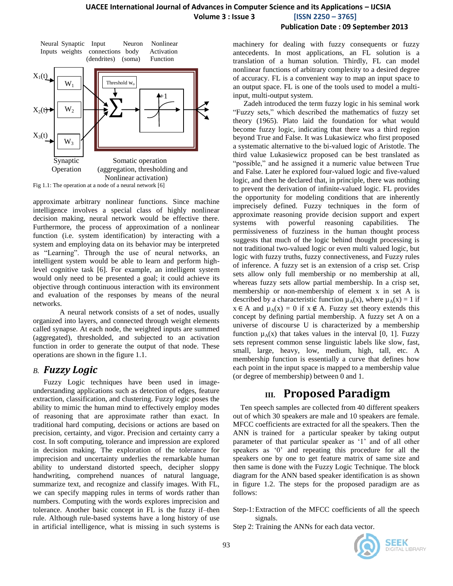#### **UACEE International Journal of Advances in Computer Science and its Applications – IJCSIA Volume 3 : Issue 3 [ISSN 2250 – 3765] Publication Date : 09 September 2013**

#### Neural Synaptic Input Neuron Nonlinear Inputs weights connections body Activation (dendrites) (soma) Function  $X_1(t)$  $X_2(t)$  $X_3(t)$ Synaptic Somatic operation Operation (aggregation, thresholding and Nonlinear activation)  $W<sub>1</sub>$  $W<sub>2</sub>$  $W_3$ ∑  $+1$  $\overline{a}$ Threshold w*<sup>o</sup>*

Fig 1.1: The operation at a node of a neural network [6]

approximate arbitrary nonlinear functions. Since machine intelligence involves a special class of highly nonlinear decision making, neural network would be effective there. Furthermore, the process of approximation of a nonlinear function (i.e. system identification) by interacting with a system and employing data on its behavior may be interpreted as "Learning". Through the use of neural networks, an intelligent system would be able to learn and perform highlevel cognitive task [6]. For example, an intelligent system would only need to be presented a goal; it could achieve its objective through continuous interaction with its environment and evaluation of the responses by means of the neural networks.

A neural network consists of a set of nodes, usually organized into layers, and connected through weight elements called synapse. At each node, the weighted inputs are summed (aggregated), thresholded, and subjected to an activation function in order to generate the output of that node. These operations are shown in the figure 1.1.

#### *B. Fuzzy Logic*

Fuzzy Logic techniques have been used in imageunderstanding applications such as detection of edges, feature extraction, classification, and clustering. Fuzzy logic poses the ability to mimic the human mind to effectively employ modes of reasoning that are approximate rather than exact. In traditional hard computing, decisions or actions are based on precision, certainty, and vigor. Precision and certainty carry a cost. In soft computing, tolerance and impression are explored in decision making. The exploration of the tolerance for imprecision and uncertainty underlies the remarkable human ability to understand distorted speech, decipher sloppy handwriting, comprehend nuances of natural language, summarize text, and recognize and classify images. With FL, we can specify mapping rules in terms of words rather than numbers. Computing with the words explores imprecision and tolerance. Another basic concept in FL is the fuzzy if–then rule. Although rule-based systems have a long history of use in artificial intelligence, what is missing in such systems is

machinery for dealing with fuzzy consequents or fuzzy antecedents. In most applications, an FL solution is a translation of a human solution. Thirdly, FL can model nonlinear functions of arbitrary complexity to a desired degree of accuracy. FL is a convenient way to map an input space to an output space. FL is one of the tools used to model a multiinput, multi-output system.

Zadeh introduced the term fuzzy logic in his seminal work "Fuzzy sets," which described the mathematics of fuzzy set theory (1965). Plato laid the foundation for what would become fuzzy logic, indicating that there was a third region beyond True and False. It was Lukasiewicz who first proposed a systematic alternative to the bi-valued logic of Aristotle. The third value Lukasiewicz proposed can be best translated as "possible," and he assigned it a numeric value between True and False. Later he explored four-valued logic and five-valued logic, and then he declared that, in principle, there was nothing to prevent the derivation of infinite-valued logic. FL provides the opportunity for modeling conditions that are inherently imprecisely defined. Fuzzy techniques in the form of approximate reasoning provide decision support and expert systems with powerful reasoning capabilities. The permissiveness of fuzziness in the human thought process suggests that much of the logic behind thought processing is not traditional two-valued logic or even multi valued logic, but logic with fuzzy truths, fuzzy connectiveness, and Fuzzy rules of inference. A fuzzy set is an extension of a crisp set. Crisp sets allow only full membership or no membership at all, whereas fuzzy sets allow partial membership. In a crisp set, membership or non-membership of element x in set A is described by a characteristic function  $\mu_A(x)$ , where  $\mu_A(x) = 1$  if  $x \in A$  and  $\mu_A(x) = 0$  if  $x \notin A$ . Fuzzy set theory extends this concept by defining partial membership. A fuzzy set A on a universe of discourse U is characterized by a membership function  $\mu_A(x)$  that takes values in the interval [0, 1]. Fuzzy sets represent common sense linguistic labels like slow, fast, small, large, heavy, low, medium, high, tall, etc. A membership function is essentially a curve that defines how each point in the input space is mapped to a membership value (or degree of membership) between 0 and 1.

## **III. Proposed Paradigm**

Ten speech samples are collected from 40 different speakers out of which 30 speakers are male and 10 speakers are female. MFCC coefficients are extracted for all the speakers. Then the ANN is trained for a particular speaker by taking output parameter of that particular speaker as "1" and of all other speakers as '0' and repeating this procedure for all the speakers one by one to get feature matrix of same size and then same is done with the Fuzzy Logic Technique. The block diagram for the ANN based speaker identification is as shown in figure 1.2. The steps for the proposed paradigm are as follows:

Step-1:Extraction of the MFCC coefficients of all the speech signals.

Step 2: Training the ANNs for each data vector.

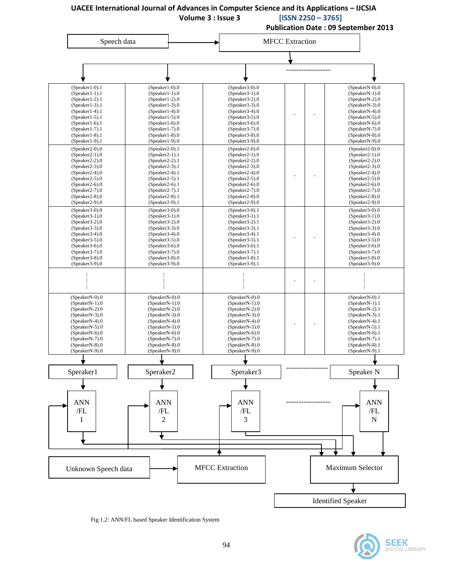